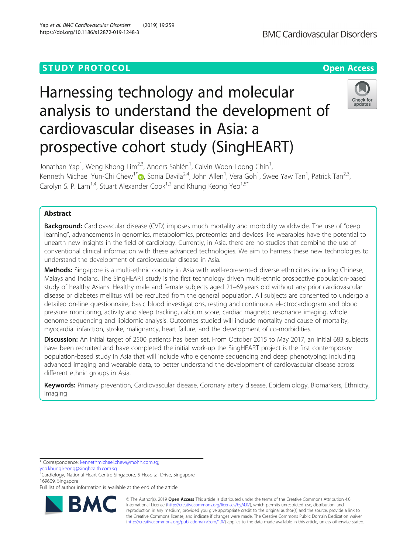# **STUDY PROTOCOL CONSUMING THE RESERVE ACCESS**

# Harnessing technology and molecular analysis to understand the development of cardiovascular diseases in Asia: a prospective cohort study (SingHEART)

Jonathan Yap<sup>1</sup>, Weng Khong Lim<sup>2,3</sup>, Anders Sahlén<sup>1</sup>, Calvin Woon-Loong Chin<sup>1</sup> , Kenneth Michael Yun-Chi Chew<sup>1\*</sup>i [,](http://orcid.org/0000-0001-9961-1255) Sonia Davila<sup>2,4</sup>, John Allen<sup>1</sup>, Vera Goh<sup>1</sup>, Swee Yaw Tan<sup>1</sup>, Patrick Tan<sup>2,3</sup>, Carolyn S. P. Lam<sup>1,4</sup>, Stuart Alexander Cook<sup>1,2</sup> and Khung Keong Yeo<sup>1,5\*</sup>

## Abstract

**Background:** Cardiovascular disease (CVD) imposes much mortality and morbidity worldwide. The use of "deep learning", advancements in genomics, metabolomics, proteomics and devices like wearables have the potential to unearth new insights in the field of cardiology. Currently, in Asia, there are no studies that combine the use of conventional clinical information with these advanced technologies. We aim to harness these new technologies to understand the development of cardiovascular disease in Asia.

Methods: Singapore is a multi-ethnic country in Asia with well-represented diverse ethnicities including Chinese, Malays and Indians. The SingHEART study is the first technology driven multi-ethnic prospective population-based study of healthy Asians. Healthy male and female subjects aged 21–69 years old without any prior cardiovascular disease or diabetes mellitus will be recruited from the general population. All subjects are consented to undergo a detailed on-line questionnaire, basic blood investigations, resting and continuous electrocardiogram and blood pressure monitoring, activity and sleep tracking, calcium score, cardiac magnetic resonance imaging, whole genome sequencing and lipidomic analysis. Outcomes studied will include mortality and cause of mortality, myocardial infarction, stroke, malignancy, heart failure, and the development of co-morbidities.

Discussion: An initial target of 2500 patients has been set. From October 2015 to May 2017, an initial 683 subjects have been recruited and have completed the initial work-up the SingHEART project is the first contemporary population-based study in Asia that will include whole genome sequencing and deep phenotyping: including advanced imaging and wearable data, to better understand the development of cardiovascular disease across different ethnic groups in Asia.

Keywords: Primary prevention, Cardiovascular disease, Coronary artery disease, Epidemiology, Biomarkers, Ethnicity, Imaging

\* Correspondence: [kennethmichael.chew@mohh.com.sg](mailto:kennethmichael.chew@mohh.com.sg);

[yeo.khung.keong@singhealth.com.sg](mailto:yeo.khung.keong@singhealth.com.sg)<br><sup>1</sup>Cardiology, National Heart Centre Singapore, 5 Hospital Drive, Singapore 169609, Singapore

Full list of author information is available at the end of the article



© The Author(s). 2019 **Open Access** This article is distributed under the terms of the Creative Commons Attribution 4.0 International License [\(http://creativecommons.org/licenses/by/4.0/](http://creativecommons.org/licenses/by/4.0/)), which permits unrestricted use, distribution, and reproduction in any medium, provided you give appropriate credit to the original author(s) and the source, provide a link to the Creative Commons license, and indicate if changes were made. The Creative Commons Public Domain Dedication waiver [\(http://creativecommons.org/publicdomain/zero/1.0/](http://creativecommons.org/publicdomain/zero/1.0/)) applies to the data made available in this article, unless otherwise stated.



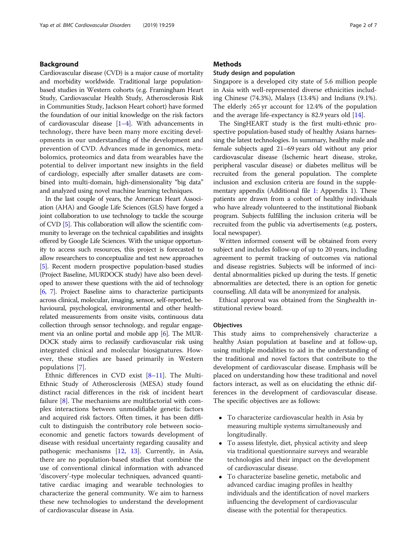#### Background

Cardiovascular disease (CVD) is a major cause of mortality and morbidity worldwide. Traditional large populationbased studies in Western cohorts (e.g. Framingham Heart Study, Cardiovascular Health Study, Atherosclerosis Risk in Communities Study, Jackson Heart cohort) have formed the foundation of our initial knowledge on the risk factors of cardiovascular disease [[1](#page-5-0)–[4](#page-5-0)]. With advancements in technology, there have been many more exciting developments in our understanding of the development and prevention of CVD. Advances made in genomics, metabolomics, proteomics and data from wearables have the potential to deliver important new insights in the field of cardiology, especially after smaller datasets are combined into multi-domain, high-dimensionality "big data" and analyzed using novel machine learning techniques.

In the last couple of years, the American Heart Association (AHA) and Google Life Sciences (GLS) have forged a joint collaboration to use technology to tackle the scourge of CVD [[5](#page-6-0)]. This collaboration will allow the scientific community to leverage on the technical capabilities and insights offered by Google Life Sciences. With the unique opportunity to access such resources, this project is forecasted to allow researchers to conceptualize and test new approaches [[5](#page-6-0)]. Recent modern prospective population-based studies (Project Baseline, MURDOCK study) have also been developed to answer these questions with the aid of technology [[6](#page-6-0), [7](#page-6-0)]. Project Baseline aims to characterize participants across clinical, molecular, imaging, sensor, self-reported, behavioural, psychological, environmental and other healthrelated measurements from onsite visits, continuous data collection through sensor technology, and regular engagement via an online portal and mobile app [[6](#page-6-0)]. The MUR-DOCK study aims to reclassify cardiovascular risk using integrated clinical and molecular biosignatures. However, these studies are based primarily in Western populations [[7\]](#page-6-0).

Ethnic differences in CVD exist [[8](#page-6-0)–[11](#page-6-0)]. The Multi-Ethnic Study of Atherosclerosis (MESA) study found distinct racial differences in the risk of incident heart failure [[8\]](#page-6-0). The mechanisms are multifactorial with complex interactions between unmodifiable genetic factors and acquired risk factors. Often times, it has been difficult to distinguish the contributory role between socioeconomic and genetic factors towards development of disease with residual uncertainty regarding causality and pathogenic mechanisms [\[12,](#page-6-0) [13](#page-6-0)]. Currently, in Asia, there are no population-based studies that combine the use of conventional clinical information with advanced 'discovery'-type molecular techniques, advanced quantitative cardiac imaging and wearable technologies to characterize the general community. We aim to harness these new technologies to understand the development of cardiovascular disease in Asia.

#### **Methods**

#### Study design and population

Singapore is a developed city state of 5.6 million people in Asia with well-represented diverse ethnicities including Chinese (74.3%), Malays (13.4%) and Indians (9.1%). The elderly  $\geq 65$  yr account for 12.4% of the population and the average life-expectancy is 82.9 years old [\[14](#page-6-0)].

The SingHEART study is the first multi-ethnic prospective population-based study of healthy Asians harnessing the latest technologies. In summary, healthy male and female subjects aged 21–69 years old without any prior cardiovascular disease (Ischemic heart disease, stroke, peripheral vascular disease) or diabetes mellitus will be recruited from the general population. The complete inclusion and exclusion criteria are found in the supplementary appendix (Additional file [1:](#page-5-0) Appendix 1). These patients are drawn from a cohort of healthy individuals who have already volunteered to the institutional Biobank program. Subjects fulfilling the inclusion criteria will be recruited from the public via advertisements (e.g. posters, local newspaper).

Written informed consent will be obtained from every subject and includes follow-up of up to 20 years, including agreement to permit tracking of outcomes via national and disease registries. Subjects will be informed of incidental abnormalities picked up during the tests. If genetic abnormalities are detected, there is an option for genetic counselling. All data will be anonymized for analysis.

Ethical approval was obtained from the Singhealth institutional review board.

#### **Objectives**

This study aims to comprehensively characterize a healthy Asian population at baseline and at follow-up, using multiple modalities to aid in the understanding of the traditional and novel factors that contribute to the development of cardiovascular disease. Emphasis will be placed on understanding how these traditional and novel factors interact, as well as on elucidating the ethnic differences in the development of cardiovascular disease. The specific objectives are as follows:

- To characterize cardiovascular health in Asia by measuring multiple systems simultaneously and longitudinally.
- To assess lifestyle, diet, physical activity and sleep via traditional questionnaire surveys and wearable technologies and their impact on the development of cardiovascular disease.
- To characterize baseline genetic, metabolic and advanced cardiac imaging profiles in healthy individuals and the identification of novel markers influencing the development of cardiovascular disease with the potential for therapeutics.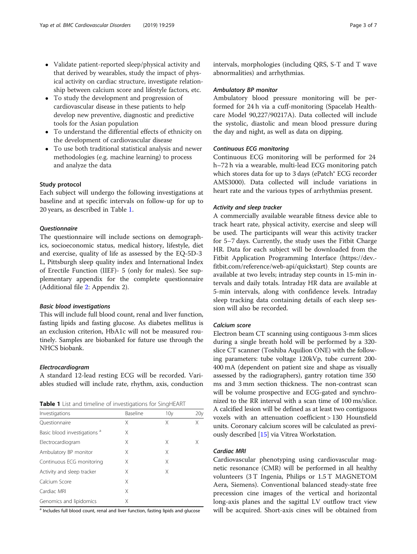- Validate patient-reported sleep/physical activity and that derived by wearables, study the impact of physical activity on cardiac structure, investigate relationship between calcium score and lifestyle factors, etc.
- To study the development and progression of cardiovascular disease in these patients to help develop new preventive, diagnostic and predictive tools for the Asian population
- To understand the differential effects of ethnicity on the development of cardiovascular disease
- To use both traditional statistical analysis and newer methodologies (e.g. machine learning) to process and analyze the data

#### Study protocol

Each subject will undergo the following investigations at baseline and at specific intervals on follow-up for up to 20 years, as described in Table 1.

#### **Questionnaire**

The questionnaire will include sections on demographics, socioeconomic status, medical history, lifestyle, diet and exercise, quality of life as assessed by the EQ-5D-3 L, Pittsburgh sleep quality index and International Index of Erectile Function (IIEF)- 5 (only for males). See supplementary appendix for the complete questionnaire (Additional file [2](#page-5-0): Appendix 2).

#### Basic blood investigations

This will include full blood count, renal and liver function, fasting lipids and fasting glucose. As diabetes mellitus is an exclusion criterion, HbA1c will not be measured routinely. Samples are biobanked for future use through the NHCS biobank.

#### Electrocardiogram

A standard 12-lead resting ECG will be recorded. Variables studied will include rate, rhythm, axis, conduction

Table 1 List and timeline of investigations for SingHEART

| Investigations                          | Baseline | 10 <sub>V</sub> | 20 <sub>V</sub> |
|-----------------------------------------|----------|-----------------|-----------------|
| Ouestionnaire                           | Χ        | Χ               | Χ               |
| Basic blood investigations <sup>a</sup> | Χ        |                 |                 |
| Electrocardiogram                       | Χ        | Χ               | X               |
| Ambulatory BP monitor                   | X        | Χ               |                 |
| Continuous ECG monitoring               | Χ        | Χ               |                 |
| Activity and sleep tracker              | Χ        | X               |                 |
| Calcium Score                           | Χ        |                 |                 |
| Cardiac MRI                             | Χ        |                 |                 |
| Genomics and lipidomics                 | Χ        |                 |                 |

<sup>a</sup> Includes full blood count, renal and liver function, fasting lipids and glucose

intervals, morphologies (including QRS, S-T and T wave abnormalities) and arrhythmias.

#### Ambulatory BP monitor

Ambulatory blood pressure monitoring will be performed for 24 h via a cuff-monitoring (Spacelab Healthcare Model 90,227/90217A). Data collected will include the systolic, diastolic and mean blood pressure during the day and night, as well as data on dipping.

#### Continuous ECG monitoring

Continuous ECG monitoring will be performed for 24 h–72 h via a wearable, multi-lead ECG monitoring patch which stores data for up to 3 days (ePatch® ECG recorder AMS3000). Data collected will include variations in heart rate and the various types of arrhythmias present.

#### Activity and sleep tracker

A commercially available wearable fitness device able to track heart rate, physical activity, exercise and sleep will be used. The participants will wear this activity tracker for 5–7 days. Currently, the study uses the Fitbit Charge HR. Data for each subject will be downloaded from the Fitbit Application Programming Interface (https://dev. fitbit.com/reference/web-api/quickstart). Step counts are available at two levels; intraday step counts in 15-min intervals and daily totals. Intraday HR data are available at 5-min intervals, along with confidence levels. Intraday sleep tracking data containing details of each sleep session will also be recorded.

#### Calcium score

Electron beam CT scanning using contiguous 3-mm slices during a single breath hold will be performed by a 320 slice CT scanner (Toshiba Aquilion ONE) with the following parameters: tube voltage 120kVp, tube current 200- 400 mA (dependent on patient size and shape as visually assessed by the radiographers), gantry rotation time 350 ms and 3 mm section thickness. The non-contrast scan will be volume prospective and ECG-gated and synchronized to the RR interval with a scan time of 100 ms/slice. A calcified lesion will be defined as at least two contiguous voxels with an attenuation coefficient > 130 Hounsfield units. Coronary calcium scores will be calculated as previously described [[15](#page-6-0)] via Vitrea Workstation.

#### Cardiac MRI

Cardiovascular phenotyping using cardiovascular magnetic resonance (CMR) will be performed in all healthy volunteers (3 T Ingenia, Philips or 1.5 T MAGNETOM Aera, Siemens). Conventional balanced steady-state free precession cine images of the vertical and horizontal long-axis planes and the sagittal LV outflow tract view will be acquired. Short-axis cines will be obtained from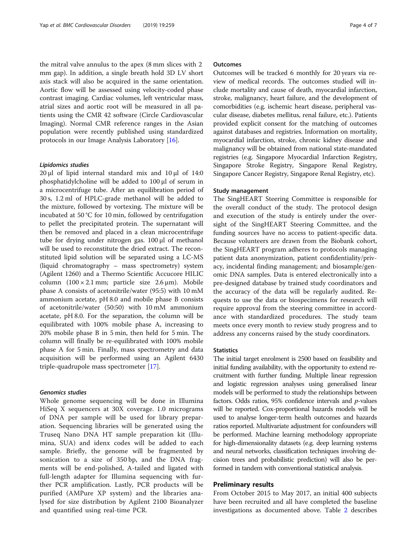the mitral valve annulus to the apex (8 mm slices with 2 mm gap). In addition, a single breath hold 3D LV short axis stack will also be acquired in the same orientation. Aortic flow will be assessed using velocity-coded phase contrast imaging. Cardiac volumes, left ventricular mass, atrial sizes and aortic root will be measured in all patients using the CMR 42 software (Circle Cardiovascular Imaging). Normal CMR reference ranges in the Asian population were recently published using standardized protocols in our Image Analysis Laboratory [\[16\]](#page-6-0).

#### Lipidomics studies

20 μl of lipid internal standard mix and 10 μl of 14:0 phosphatidylcholine will be added to 100 μl of serum in a microcentrifuge tube. After an equilibration period of 30 s, 1.2 ml of HPLC-grade methanol will be added to the mixture, followed by vortexing. The mixture will be incubated at 50 °C for 10 min, followed by centrifugation to pellet the precipitated protein. The supernatant will then be removed and placed in a clean microcentrifuge tube for drying under nitrogen gas. 100 μl of methanol will be used to reconstitute the dried extract. The reconstituted lipid solution will be separated using a LC-MS (liquid chromatography – mass spectrometry) system (Agilent 1260) and a Thermo Scientific Accucore HILIC column  $(100 \times 2.1 \text{ mm})$ ; particle size 2.6  $\mu$ m). Mobile phase A consists of acetonitrile/water (95:5) with 10 mM ammonium acetate, pH 8.0 and mobile phase B consists of acetonitrile/water (50:50) with 10 mM ammonium acetate, pH 8.0. For the separation, the column will be equilibrated with 100% mobile phase A, increasing to 20% mobile phase B in 5 min, then held for 5 min. The column will finally be re-equilibrated with 100% mobile phase A for 5 min. Finally, mass spectrometry and data acquisition will be performed using an Agilent 6430 triple-quadrupole mass spectrometer [[17\]](#page-6-0).

#### Genomics studies

Whole genome sequencing will be done in Illumina HiSeq X sequencers at 30X coverage. 1.0 micrograms of DNA per sample will be used for library preparation. Sequencing libraries will be generated using the Truseq Nano DNA HT sample preparation kit (Illumina, SUA) and idenx codes will be added to each sample. Briefly, the genome will be fragmented by sonication to a size of 350 bp, and the DNA fragments will be end-polished, A-tailed and ligated with full-length adapter for Illumina sequencing with further PCR amplification. Lastly, PCR products will be purified (AMPure XP system) and the libraries analysed for size distribution by Agilent 2100 Bioanalyzer and quantified using real-time PCR.

#### **Outcomes**

Outcomes will be tracked 6 monthly for 20 years via review of medical records. The outcomes studied will include mortality and cause of death, myocardial infarction, stroke, malignancy, heart failure, and the development of comorbidities (e.g. ischemic heart disease, peripheral vascular disease, diabetes mellitus, renal failure, etc.). Patients provided explicit consent for the matching of outcomes against databases and registries. Information on mortality, myocardial infarction, stroke, chronic kidney disease and malignancy will be obtained from national state-mandated registries (e.g. Singapore Myocardial Infarction Registry, Singapore Stroke Registry, Singapore Renal Registry, Singapore Cancer Registry, Singapore Renal Registry, etc).

#### Study management

The SingHEART Steering Committee is responsible for the overall conduct of the study. The protocol design and execution of the study is entirely under the oversight of the SingHEART Steering Committee, and the funding sources have no access to patient-specific data. Because volunteers are drawn from the Biobank cohort, the SingHEART program adheres to protocols managing patient data anonymization, patient confidentiality/privacy, incidental finding management; and biosample/genomic DNA samples. Data is entered electronically into a pre-designed database by trained study coordinators and the accuracy of the data will be regularly audited. Requests to use the data or biospecimens for research will require approval from the steering committee in accordance with standardized procedures. The study team meets once every month to review study progress and to address any concerns raised by the study coordinators.

#### **Statistics**

The initial target enrolment is 2500 based on feasibility and initial funding availability, with the opportunity to extend recruitment with further funding. Multiple linear regression and logistic regression analyses using generalised linear models will be performed to study the relationships between factors. Odds ratios, 95% confidence intervals and p-values will be reported. Cox-proportional hazards models will be used to analyse longer-term health outcomes and hazards ratios reported. Multivariate adjustment for confounders will be performed. Machine learning methodology appropriate for high-dimensionality datasets (e.g. deep learning systems and neural networks, classification techniques involving decision trees and probabilistic prediction) will also be performed in tandem with conventional statistical analysis.

#### Preliminary results

From October 2015 to May 2017, an initial 400 subjects have been recruited and all have completed the baseline investigations as documented above. Table [2](#page-4-0) describes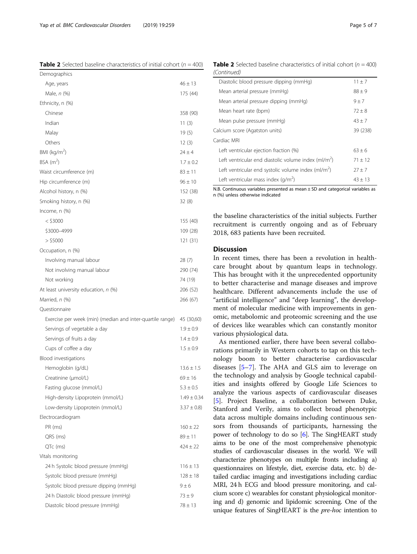N.B. Continuous variables presented as mean  $\pm$  SD and categorical variables as n (%) unless otherwise indicated

Left ventricular ejection fraction  $(\%)$  63 ± 6

Left ventricular end diastolic volume index  $(ml/m<sup>2</sup>)$ 

Left ventricular end systolic volume index  $(ml/m<sup>2</sup>)$ 

Left ventricular mass index  $(g/m^2)$ 

the baseline characteristics of the initial subjects. Further recruitment is currently ongoing and as of February 2018, 683 patients have been recruited.

#### **Discussion**

Cardiac MRI

In recent times, there has been a revolution in healthcare brought about by quantum leaps in technology. This has brought with it the unprecedented opportunity to better characterise and manage diseases and improve healthcare. Different advancements include the use of "artificial intelligence" and "deep learning", the development of molecular medicine with improvements in genomic, metabolomic and proteomic screening and the use of devices like wearables which can constantly monitor various physiological data.

As mentioned earlier, there have been several collaborations primarily in Western cohorts to tap on this technology boom to better characterise cardiovascular diseases [[5](#page-6-0)–[7](#page-6-0)]. The AHA and GLS aim to leverage on the technology and analysis by Google technical capabilities and insights offered by Google Life Sciences to analyze the various aspects of cardiovascular diseases [[5\]](#page-6-0). Project Baseline, a collaboration between Duke, Stanford and Verily, aims to collect broad phenotypic data across multiple domains including continuous sensors from thousands of participants, harnessing the power of technology to do so [\[6\]](#page-6-0). The SingHEART study aims to be one of the most comprehensive phenotypic studies of cardiovascular diseases in the world. We will characterize phenotypes on multiple fronts including a) questionnaires on lifestyle, diet, exercise data, etc. b) detailed cardiac imaging and investigations including cardiac MRI, 24 h ECG and blood pressure monitoring, and calcium score c) wearables for constant physiological monitoring and d) genomic and lipidomic screening. One of the unique features of SingHEART is the *pre-hoc* intention to

**Table 2** Selected baseline characteristics of initial cohort ( $n = 400$ ) (Continued) Diastolic blood pressure dipping (mmHg)  $11 \pm 7$ 

Mean arterial pressure (mmHg)  $88 \pm 9$ Mean arterial pressure dipping (mmHg)  $9 \pm 7$ Mean heart rate (bpm)  $72 \pm 8$ Mean pulse pressure (mmHg)  $43 \pm 7$ Calcium score (Agatston units) 39 (238)

| Demographics                                              |                 |
|-----------------------------------------------------------|-----------------|
| Age, years                                                | $46 \pm 13$     |
| Male, n (%)                                               | 175 (44)        |
| Ethnicity, n (%)                                          |                 |
| Chinese                                                   | 358 (90)        |
| Indian                                                    | 11 $(3)$        |
| Malay                                                     | 19(5)           |
| Others                                                    | 12(3)           |
| BMI ( $\text{kg/m}^2$ )                                   | $24 \pm 4$      |
| $BSA$ (m <sup>2</sup> )                                   | $1.7 \pm 0.2$   |
| Waist circumference (m)                                   | $83 \pm 11$     |
| Hip circumference (m)                                     | $96 \pm 10$     |
| Alcohol history, n (%)                                    | 152 (38)        |
| Smoking history, n (%)                                    | 32(8)           |
| Income, $n$ $%$                                           |                 |
| $<$ \$3000                                                | 155 (40)        |
| \$3000-4999                                               | 109 (28)        |
| $>$ \$5000                                                | 121 (31)        |
| Occupation, n (%)                                         |                 |
| Involving manual labour                                   | 28 (7)          |
| Not involving manual labour                               | 290 (74)        |
| Not working                                               | 74 (19)         |
| At least university education, n (%)                      | 206 (52)        |
| Married, n (%)                                            | 266 (67)        |
| Questionnaire                                             |                 |
| Exercise per week (min) (median and inter-quartile range) | 45 (30,60)      |
| Servings of vegetable a day                               | $1.9 \pm 0.9$   |
| Servings of fruits a day                                  | $1.4 \pm 0.9$   |
| Cups of coffee a day                                      | $1.5 \pm 0.9$   |
| Blood investigations                                      |                 |
| Hemoglobin (g/dL)                                         | $13.6 \pm 1.5$  |
| Creatinine (µmol/L)                                       | $69 \pm 16$     |
| Fasting glucose (mmol/L)                                  | $5.3 \pm 0.5$   |
| High-density Lipoprotein (mmol/L)                         | $1.49 \pm 0.34$ |
| Low-density Lipoprotein (mmol/L)                          | $3.37 \pm 0.8$  |
| Electrocardiogram                                         |                 |
| PR (ms)                                                   | $160 \pm 22$    |
| QRS (ms)                                                  | $89 \pm 11$     |
| QTc (ms)                                                  | $424 \pm 22$    |
| Vitals monitoring                                         |                 |
| 24 h Systolic blood pressure (mmHg)                       | $116 \pm 13$    |
| Systolic blood pressure (mmHg)                            | $128 \pm 18$    |
| Systolic blood pressure dipping (mmHg)                    | $9 \pm 6$       |

24 h Diastolic blood pressure (mmHg)  $73 \pm 9$ Diastolic blood pressure (mmHg) 78 ± 13

<span id="page-4-0"></span>Yap et al. BMC Cardiovascular Disorders (2019) 19:259 Page 5 of 7

**Table 2** Selected baseline characteristics of initial cohort ( $n = 400$ )

 $71 + 12$ 

 $27 + 7$ 

 $43 + 13$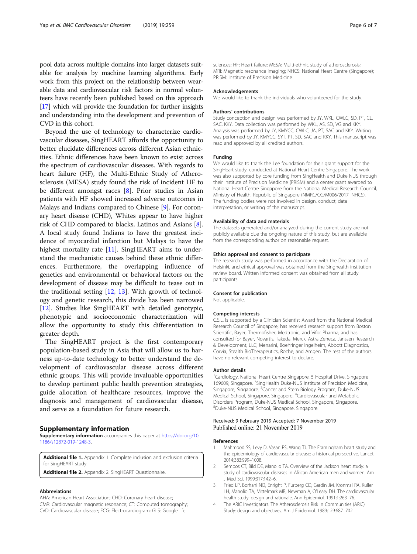<span id="page-5-0"></span>pool data across multiple domains into larger datasets suitable for analysis by machine learning algorithms. Early work from this project on the relationship between wearable data and cardiovascular risk factors in normal volunteers have recently been published based on this approach [[17](#page-6-0)] which will provide the foundation for further insights and understanding into the development and prevention of CVD in this cohort.

Beyond the use of technology to characterize cardiovascular diseases, SingHEART affords the opportunity to better elucidate differences across different Asian ethnicities. Ethnic differences have been known to exist across the spectrum of cardiovascular diseases. With regards to heart failure (HF), the Multi-Ethnic Study of Atherosclerosis (MESA) study found the risk of incident HF to be different amongst races [[8\]](#page-6-0). Prior studies in Asian patients with HF showed increased adverse outcomes in Malays and Indians compared to Chinese [\[9\]](#page-6-0). For coronary heart disease (CHD), Whites appear to have higher risk of CHD compared to blacks, Latinos and Asians [\[8](#page-6-0)]. A local study found Indians to have the greatest incidence of myocardial infarction but Malays to have the highest mortality rate [\[11\]](#page-6-0). SingHEART aims to understand the mechanistic causes behind these ethnic differences. Furthermore, the overlapping influence of genetics and environmental or behavioral factors on the development of disease may be difficult to tease out in the traditional setting  $[12, 13]$  $[12, 13]$  $[12, 13]$ . With growth of technology and genetic research, this divide has been narrowed [[12\]](#page-6-0). Studies like SingHEART with detailed genotypic, phenotypic and socioeconomic characterization will allow the opportunity to study this differentiation in greater depth.

The SingHEART project is the first contemporary population-based study in Asia that will allow us to harness up-to-date technology to better understand the development of cardiovascular disease across different ethnic groups. This will provide invaluable opportunities to develop pertinent public health prevention strategies, guide allocation of healthcare resources, improve the diagnosis and management of cardiovascular disease, and serve as a foundation for future research.

#### Supplementary information

Supplementary information accompanies this paper at [https://doi.org/10.](https://doi.org/10.1186/s12872-019-1248-3) [1186/s12872-019-1248-3.](https://doi.org/10.1186/s12872-019-1248-3)

Additional file 1. Appendix 1. Complete inclusion and exclusion criteria for SingHEART study.

Additional file 2. Appendix 2. SingHEART Questionnaire.

#### Abbreviations

AHA: American Heart Association; CHD: Coronary heart disease; CMR: Cardiovascular magnetic resonance; CT: Computed tomography; CVD: Cardiovascular disease; ECG: Electrocardiogram; GLS: Google life

sciences; HF: Heart failure; MESA: Multi-ethnic study of atherosclerosis; MRI: Magnetic resonance imaging; NHCS: National Heart Centre (Singapore); PRISM: Institute of Precision Medicine

#### Acknowledgements

We would like to thank the individuals who volunteered for the study.

#### Authors' contributions

Study conception and design was performed by JY, WKL, CWLC, SD, PT, CL, SAC, KKY. Data collection was performed by WKL, AS, SD, VG and KKY. Analysis was performed by JY, KMYCC, CWLC, JA, PT, SAC and KKY. Writing was performed by JY, KMYCC, SYT, PT, SD, SAC and KKY. This manuscript was read and approved by all credited authors.

#### Funding

We would like to thank the Lee foundation for their grant support for the SingHeart study, conducted at National Heart Centre Singapore. The work was also supported by core funding from SingHealth and Duke NUS through their institute of Precision Medicine (PRISM) and a center grant awarded to National Heart Centre Singapore from the National Medical Research Council, Ministry of Health, Republic of Singapore (NMRC/CG/M006/2017\_NHCS). The funding bodies were not involved in design, conduct, data interpretation, or writing of the manuscript.

#### Availability of data and materials

The datasets generated and/or analyzed during the current study are not publicly available due the ongoing nature of this study, but are available from the corresponding author on reasonable request.

#### Ethics approval and consent to participate

The research study was performed in accordance with the Declaration of Helsinki, and ethical approval was obtained from the Singhealth institution review board. Written informed consent was obtained from all study participants.

#### Consent for publication

Not applicable.

#### Competing interests

C.S.L. is supported by a Clinician Scientist Award from the National Medical Research Council of Singapore; has received research support from Boston Scientific, Bayer, Thermofisher, Medtronic, and Vifor Pharma; and has consulted for Bayer, Novartis, Takeda, Merck, Astra Zeneca, Janssen Research & Development, LLC, Menarini, Boehringer Ingelheim, Abbott Diagnostics, Corvia, Stealth BioTherapeutics, Roche, and Amgen. The rest of the authors have no relevant competing interest to declare.

#### Author details

<sup>1</sup> Cardiology, National Heart Centre Singapore, 5 Hospital Drive, Singapore 169609, Singapore. <sup>2</sup>SingHealth Duke-NUS Institute of Precision Medicine Singapore, Singapore. <sup>3</sup> Cancer and Stem Biology Program, Duke-NUS Medical School, Singapore, Singapore. <sup>4</sup>Cardiovascular and Metabolic Disorders Program, Duke-NUS Medical School, Singapore, Singapore. 5 Duke-NUS Medical School, Singapore, Singapore.

#### Received: 9 February 2019 Accepted: 7 November 2019 Published online: 21 November 2019

#### References

- 1. Mahmood SS, Levy D, Vasan RS, Wang TJ. The Framingham heart study and the epidemiology of cardiovascular disease: a historical perspective. Lancet. 2014;383:999–1008.
- 2. Sempos CT, Bild DE, Manolio TA. Overview of the Jackson heart study: a study of cardiovascular diseases in African American men and women. Am J Med Sci. 1999;317:142–6.
- 3. Fried LP, Borhani NO, Enright P, Furberg CD, Gardin JM, Kronmal RA, Kuller LH, Manolio TA, Mittelmark MB, Newman A, O'Leary DH. The cardiovascular health study: design and rationale. Ann Epidemiol. 1991;1:263–76.
- 4. The ARIC Investigators. The Atherosclerosis Risk in Communities (ARIC) Study: design and objectives. Am J Epidemiol. 1989;129:687–702.